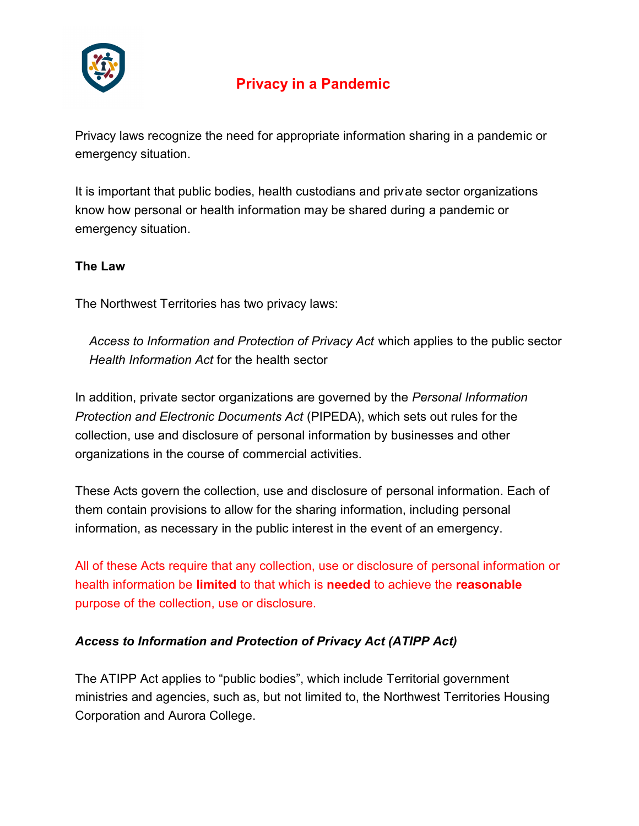

# **Privacy in a Pandemic**

Privacy laws recognize the need for appropriate information sharing in a pandemic or emergency situation.

It is important that public bodies, health custodians and private sector organizations know how personal or health information may be shared during a pandemic or emergency situation.

## **The Law**

The Northwest Territories has two privacy laws:

 *Access to Information and Protection of Privacy Act* which applies to the public sector *Health Information Act* for the health sector

In addition, private sector organizations are governed by the *Personal Information Protection and Electronic Documents Act* (PIPEDA), which sets out rules for the collection, use and disclosure of personal information by businesses and other organizations in the course of commercial activities.

These Acts govern the collection, use and disclosure of personal information. Each of them contain provisions to allow for the sharing information, including personal information, as necessary in the public interest in the event of an emergency.

All of these Acts require that any collection, use or disclosure of personal information or health information be **limited** to that which is **needed** to achieve the **reasonable** purpose of the collection, use or disclosure.

## *Access to Information and Protection of Privacy Act (ATIPP Act)*

The ATIPP Act applies to "public bodies", which include Territorial government ministries and agencies, such as, but not limited to, the Northwest Territories Housing Corporation and Aurora College.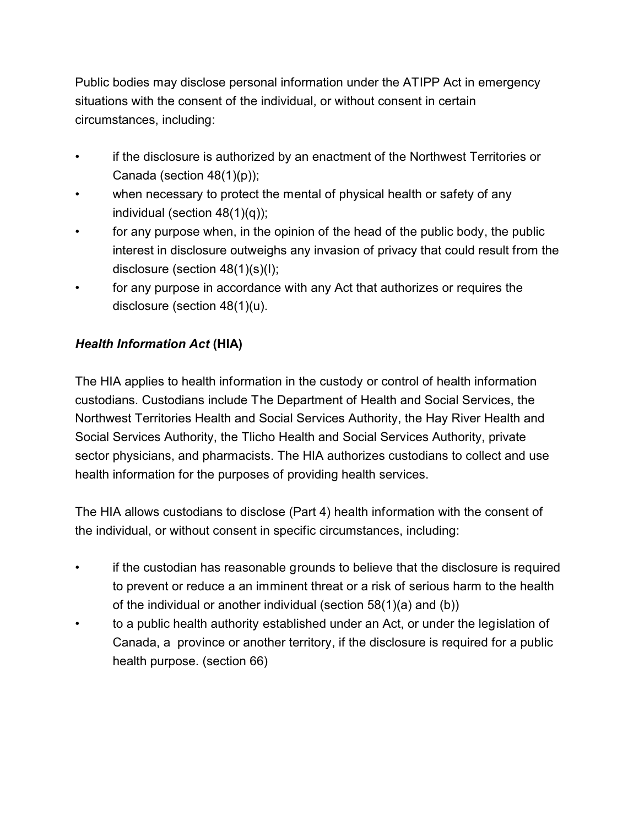Public bodies may disclose personal information under the ATIPP Act in emergency situations with the consent of the individual, or without consent in certain circumstances, including:

- if the disclosure is authorized by an enactment of the Northwest Territories or Canada (section 48(1)(p));
- when necessary to protect the mental of physical health or safety of any individual (section 48(1)(q));
- for any purpose when, in the opinion of the head of the public body, the public interest in disclosure outweighs any invasion of privacy that could result from the disclosure (section 48(1)(s)(I);
- for any purpose in accordance with any Act that authorizes or requires the disclosure (section 48(1)(u).

## *Health Information Act* **(HIA)**

The HIA applies to health information in the custody or control of health information custodians. Custodians include The Department of Health and Social Services, the Northwest Territories Health and Social Services Authority, the Hay River Health and Social Services Authority, the Tlicho Health and Social Services Authority, private sector physicians, and pharmacists. The HIA authorizes custodians to collect and use health information for the purposes of providing health services.

The HIA allows custodians to disclose (Part 4) health information with the consent of the individual, or without consent in specific circumstances, including:

- if the custodian has reasonable grounds to believe that the disclosure is required to prevent or reduce a an imminent threat or a risk of serious harm to the health of the individual or another individual (section 58(1)(a) and (b))
- to a public health authority established under an Act, or under the legislation of Canada, a province or another territory, if the disclosure is required for a public health purpose. (section 66)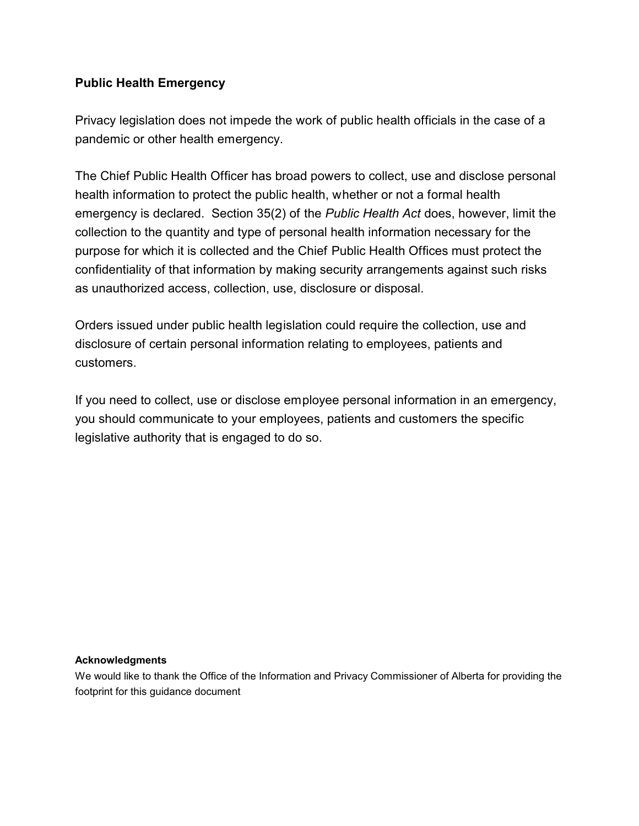### **Public Health Emergency**

Privacy legislation does not impede the work of public health officials in the case of a pandemic or other health emergency.

The Chief Public Health Officer has broad powers to collect, use and disclose personal health information to protect the public health, whether or not a formal health emergency is declared. Section 35(2) of the *Public Health Act* does, however, limit the collection to the quantity and type of personal health information necessary for the purpose for which it is collected and the Chief Public Health Offices must protect the confidentiality of that information by making security arrangements against such risks as unauthorized access, collection, use, disclosure or disposal.

Orders issued under public health legislation could require the collection, use and disclosure of certain personal information relating to employees, patients and customers.

If you need to collect, use or disclose employee personal information in an emergency, you should communicate to your employees, patients and customers the specific legislative authority that is engaged to do so.

#### **Acknowledgments**

We would like to thank the Office of the Information and Privacy Commissioner of Alberta for providing the footprint for this guidance document